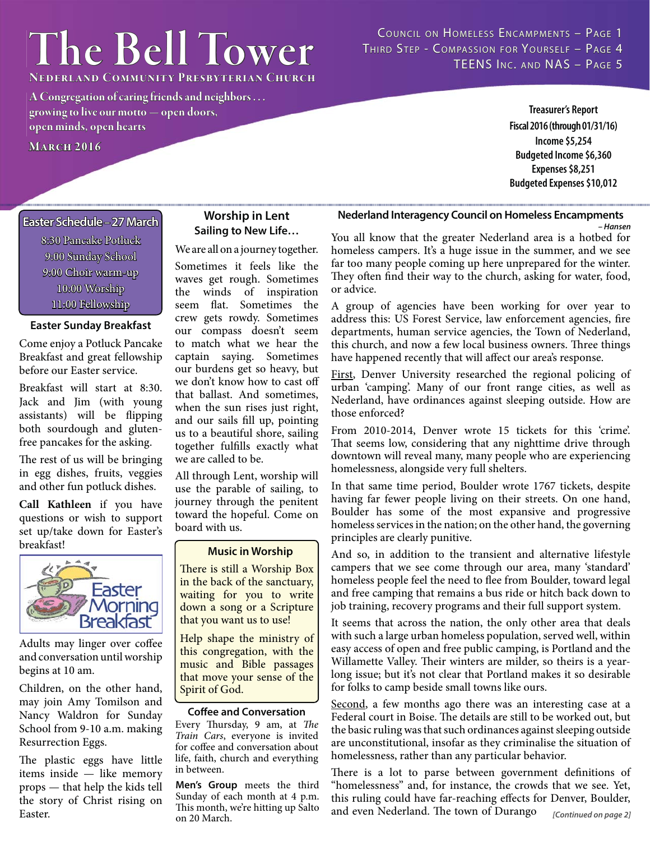# $The Bell Tower$

COUNCIL ON HOMELESS ENCAMPMENTS - PAGE 1 THIRD STEP - COMPASSION FOR YOURSELF - PAGE 4 TEENS INC. AND NAS - PAGE 5

**Nederland Community Presbyterian Church ederland** 

**A Congregation of caring friends and neighbors . . . growing to live our motto — open doors, rowing live open minds, open hearts pen MARCH 2016** 

**Treasurer's Report Fiscal 2016 (through 01/31/16) Income \$5,254 Budgeted Income \$6,360 Expenses \$8,251**

# **Budgeted Expenses \$10,012**

*– Hansen*

## **Easter Schedule aster Schedule– 27 March 7**

8:30 Pancake Potluck 9:00 Sunday School 9:00 Choir warm-up 10:00 Worship 11:00 Fellowship

## **Easter Sunday Breakfast**

Come enjoy a Potluck Pancake Breakfast and great fellowship before our Easter service.

Breakfast will start at 8:30. Jack and Jim (with young assistants) will be flipping both sourdough and glutenfree pancakes for the asking.

The rest of us will be bringing in egg dishes, fruits, veggies and other fun potluck dishes.

**Call Kathleen** if you have questions or wish to support set up/take down for Easter's breakfast!



Adults may linger over coffee and conversation until worship begins at 10 am.

Children, on the other hand, may join Amy Tomilson and Nancy Waldron for Sunday School from 9-10 a.m. making Resurrection Eggs.

The plastic eggs have little items inside — like memory props — that help the kids tell the story of Christ rising on Easter.

# **Worship in Lent Sailing to New Life…**

We are all on a journey together.

Sometimes it feels like the waves get rough. Sometimes the winds of inspiration seem flat. Sometimes the crew gets rowdy. Sometimes our compass doesn't seem to match what we hear the captain saying. Sometimes our burdens get so heavy, but we don't know how to cast off that ballast. And sometimes, when the sun rises just right, and our sails fill up, pointing us to a beautiful shore, sailing together fulfills exactly what we are called to be.

All through Lent, worship will use the parable of sailing, to journey through the penitent toward the hopeful. Come on board with us.

## **Music in Worship**

There is still a Worship Box in the back of the sanctuary, waiting for you to write down a song or a Scripture that you want us to use!

Help shape the ministry of this congregation, with the music and Bible passages that move your sense of the Spirit of God.

#### **Coffee and Conversation**

Every Thursday, 9 am, at The Train Cars, everyone is invited for coffee and conversation about life, faith, church and everything in between.

**Men's Group** meets the third Sunday of each month at 4 p.m. This month, we're hitting up Salto on 20 March.

You all know that the greater Nederland area is a hotbed for homeless campers. It's a huge issue in the summer, and we see far too many people coming up here unprepared for the winter. They often find their way to the church, asking for water, food, or advice.

**Nederland Interagency Council on Homeless Encampments** 

A group of agencies have been working for over year to address this: US Forest Service, law enforcement agencies, fire departments, human service agencies, the Town of Nederland, this church, and now a few local business owners. Three things have happened recently that will affect our area's response.

First, Denver University researched the regional policing of urban 'camping'. Many of our front range cities, as well as Nederland, have ordinances against sleeping outside. How are those enforced?

From 2010-2014, Denver wrote 15 tickets for this 'crime'. That seems low, considering that any nighttime drive through downtown will reveal many, many people who are experiencing homelessness, alongside very full shelters.

In that same time period, Boulder wrote 1767 tickets, despite having far fewer people living on their streets. On one hand, Boulder has some of the most expansive and progressive homeless services in the nation; on the other hand, the governing principles are clearly punitive.

And so, in addition to the transient and alternative lifestyle campers that we see come through our area, many 'standard' homeless people feel the need to flee from Boulder, toward legal and free camping that remains a bus ride or hitch back down to job training, recovery programs and their full support system.

It seems that across the nation, the only other area that deals with such a large urban homeless population, served well, within easy access of open and free public camping, is Portland and the Willamette Valley. Their winters are milder, so theirs is a yearlong issue; but it's not clear that Portland makes it so desirable for folks to camp beside small towns like ours.

Second, a few months ago there was an interesting case at a Federal court in Boise. The details are still to be worked out, but the basic ruling was that such ordinances against sleeping outside are unconstitutional, insofar as they criminalise the situation of homelessness, rather than any particular behavior.

There is a lot to parse between government definitions of "homelessness" and, for instance, the crowds that we see. Yet, this ruling could have far-reaching effects for Denver, Boulder, and even Nederland. The town of Durango *[Continued on page 2]*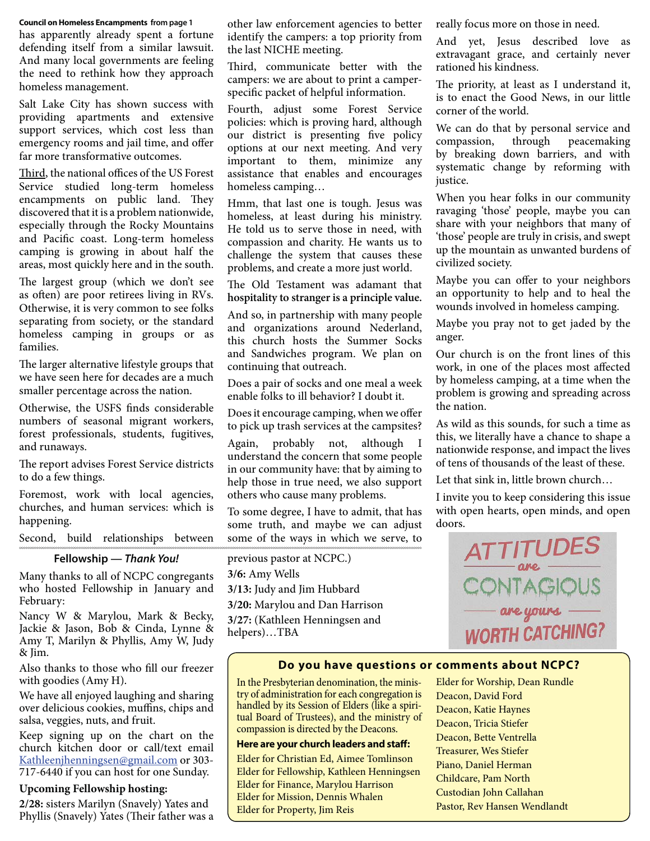#### **Council on Homeless Encampments from page 1**

has apparently already spent a fortune defending itself from a similar lawsuit. And many local governments are feeling the need to rethink how they approach homeless management.

Salt Lake City has shown success with providing apartments and extensive support services, which cost less than emergency rooms and jail time, and offer far more transformative outcomes.

Third, the national offices of the US Forest Service studied long-term homeless encampments on public land. They discovered that it is a problem nationwide, especially through the Rocky Mountains and Pacific coast. Long-term homeless camping is growing in about half the areas, most quickly here and in the south.

The largest group (which we don't see as often) are poor retirees living in RVs. Otherwise, it is very common to see folks separating from society, or the standard homeless camping in groups or as families.

The larger alternative lifestyle groups that we have seen here for decades are a much smaller percentage across the nation.

Otherwise, the USFS finds considerable numbers of seasonal migrant workers, forest professionals, students, fugitives, and runaways.

The report advises Forest Service districts to do a few things.

Foremost, work with local agencies, churches, and human services: which is happening.

Second, build relationships between

#### **Fellowship —** *Thank You!*

Many thanks to all of NCPC congregants who hosted Fellowship in January and February:

Nancy W & Marylou, Mark & Becky, Jackie & Jason, Bob & Cinda, Lynne & Amy T, Marilyn & Phyllis, Amy W, Judy & Jim.

Also thanks to those who fill our freezer with goodies (Amy H).

We have all enjoyed laughing and sharing over delicious cookies, muffins, chips and salsa, veggies, nuts, and fruit.

Keep signing up on the chart on the church kitchen door or call/text email Kathleenjhenningsen@gmail.com or 303- 717-6440 if you can host for one Sunday.

#### **Upcoming Fellowship hosting:**

**2/28:** sisters Marilyn (Snavely) Yates and Phyllis (Snavely) Yates (Their father was a other law enforcement agencies to better identify the campers: a top priority from the last NICHE meeting.

Third, communicate better with the campers: we are about to print a camperspecific packet of helpful information.

Fourth, adjust some Forest Service policies: which is proving hard, although our district is presenting five policy options at our next meeting. And very important to them, minimize any assistance that enables and encourages homeless camping…

Hmm, that last one is tough. Jesus was homeless, at least during his ministry. He told us to serve those in need, with compassion and charity. He wants us to challenge the system that causes these problems, and create a more just world.

The Old Testament was adamant that

**hospitality to stranger is a principle value.**  And so, in partnership with many people and organizations around Nederland, this church hosts the Summer Socks and Sandwiches program. We plan on continuing that outreach.

Does a pair of socks and one meal a week enable folks to ill behavior? I doubt it.

Does it encourage camping, when we offer to pick up trash services at the campsites?

Again, probably not, although understand the concern that some people in our community have: that by aiming to help those in true need, we also support others who cause many problems.

To some degree, I have to admit, that has some truth, and maybe we can adjust some of the ways in which we serve, to

previous pastor at NCPC.) **3/6:** Amy Wells **3/13:** Judy and Jim Hubbard **3/20:** Marylou and Dan Harrison **3/27:** (Kathleen Henningsen and helpers)…TBA

really focus more on those in need.

And yet, Jesus described love as extravagant grace, and certainly never rationed his kindness.

The priority, at least as I understand it, is to enact the Good News, in our little corner of the world.

We can do that by personal service and compassion, through peacemaking by breaking down barriers, and with systematic change by reforming with justice.

When you hear folks in our community ravaging 'those' people, maybe you can share with your neighbors that many of 'those' people are truly in crisis, and swept up the mountain as unwanted burdens of civilized society.

Maybe you can offer to your neighbors an opportunity to help and to heal the wounds involved in homeless camping.

Maybe you pray not to get jaded by the anger.

Our church is on the front lines of this work, in one of the places most affected by homeless camping, at a time when the problem is growing and spreading across the nation.

As wild as this sounds, for such a time as this, we literally have a chance to shape a nationwide response, and impact the lives of tens of thousands of the least of these.

Let that sink in, little brown church…

I invite you to keep considering this issue with open hearts, open minds, and open doors.



#### **Do you have questions or comments about NCPC?**

In the Presbyterian denomination, the ministry of administration for each congregation is handled by its Session of Elders (like a spiritual Board of Trustees), and the ministry of compassion is directed by the Deacons.

#### **Here are your church leaders and staff :**

Elder for Christian Ed, Aimee Tomlinson Elder for Fellowship, Kathleen Henningsen Elder for Finance, Marylou Harrison Elder for Mission, Dennis Whalen Elder for Property, Jim Reis

Elder for Worship, Dean Rundle Deacon, David Ford Deacon, Katie Haynes Deacon, Tricia Stiefer Deacon, Bette Ventrella Treasurer, Wes Stiefer Piano, Daniel Herman Childcare, Pam North Custodian John Callahan Pastor, Rev Hansen Wendlandt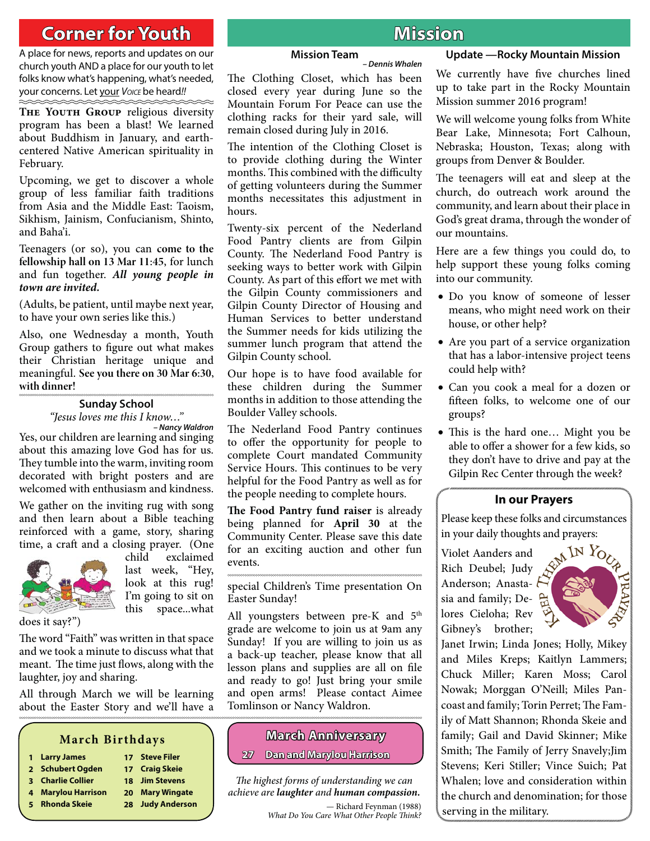# **Corner for Youth oral and Mission**

A place for news, reports and updates on our church youth AND a place for our youth to let folks know what's happening, what's needed, your concerns. Let your *VOICE* be heard*!!*

THE YOUTH GROUP religious diversity program has been a blast! We learned about Buddhism in January, and earthcentered Native American spirituality in February.

Upcoming, we get to discover a whole group of less familiar faith traditions from Asia and the Middle East: Taoism, Sikhism, Jainism, Confucianism, Shinto, and Baha'i.

Teenagers (or so), you can **come to the fellowship hall on 13 Mar 11:45**, for lunch and fun together. *All young people in town are invited.*

(Adults, be patient, until maybe next year, to have your own series like this.)

Also, one Wednesday a month, Youth Group gathers to figure out what makes their Christian heritage unique and meaningful. **See you there on 30 Mar 6:30, with dinner!** 

#### **Sunday School** "Jesus loves me this I know…"

Yes, our children are learning and singing about this amazing love God has for us. They tumble into the warm, inviting room decorated with bright posters and are welcomed with enthusiasm and kindness. *– Nancy Waldron*

We gather on the inviting rug with song and then learn about a Bible teaching reinforced with a game, story, sharing time, a craft and a closing prayer. (One ,



child exclaimed last week, "Hey, look at this rug! I'm going to sit on this space...what

does it say?")

The word "Faith" was written in that space and we took a minute to discuss what that meant. The time just flows, along with the laughter, joy and sharing.

All through March we will be learning about the Easter Story and we'll have a

# **March Birthdays**

- **1 Larry James 17 Steve Filer**
- **2 Schubert Ogden 17 Craig Skeie**
- **3 Charlie Collier 18 Jim Stevens**
- **4 Marylou Harrison 20 Mary Wingate**
- **5 Rhonda Skeie 28 Judy Anderson**

## **Mission Team**

The Clothing Closet, which has been closed every year during June so the Mountain Forum For Peace can use the clothing racks for their yard sale, will remain closed during July in 2016.

The intention of the Clothing Closet is to provide clothing during the Winter months. This combined with the difficulty of getting volunteers during the Summer months necessitates this adjustment in

Twenty-six percent of the Nederland Food Pantry clients are from Gilpin County. The Nederland Food Pantry is seeking ways to better work with Gilpin County. As part of this effort we met with the Gilpin County commissioners and Gilpin County Director of Housing and Human Services to better understand the Summer needs for kids utilizing the summer lunch program that attend the

Our hope is to have food available for these children during the Summer months in addition to those attending the

The Nederland Food Pantry continues

**Update —Rocky Mountain Mission** *– Dennis Whalen*

> We currently have five churches lined up to take part in the Rocky Mountain Mission summer 2016 program!

We will welcome young folks from White Bear Lake, Minnesota; Fort Calhoun, Nebraska; Houston, Texas; along with groups from Denver & Boulder.

The teenagers will eat and sleep at the church, do outreach work around the community, and learn about their place in God's great drama, through the wonder of our mountains.

Here are a few things you could do, to help support these young folks coming into our community.

- Do you know of someone of lesser means, who might need work on their house, or other help?
- Are you part of a service organization that has a labor-intensive project teens could help with?
- Can you cook a meal for a dozen or fifteen folks, to welcome one of our groups?
- This is the hard one... Might you be able to offer a shower for a few kids, so they don't have to drive and pay at the Gilpin Rec Center through the week?

## **In our Prayers**

Please keep these folks and circumstances in your daily thoughts and prayers:

Violet Aanders and

Rich Deubel; Judy Anderson; Anasta- *b* sia and family; Delores Cieloha; Rev Gibney's brother;



Janet Irwin; Linda Jones; Holly, Mikey and Miles Kreps; Kaitlyn Lammers; Chuck Miller; Karen Moss; Carol Nowak; Morggan O'Neill; Miles Pancoast and family; Torin Perret; The Family of Matt Shannon; Rhonda Skeie and family; Gail and David Skinner; Mike Smith; The Family of Jerry Snavely;Jim Stevens; Keri Stiller; Vince Suich; Pat Whalen; love and consideration within the church and denomination; for those serving in the military.

**27 Dan and Marylou Harrison an** 

The highest forms of understanding we can achieve are *laughter* and *human compassion.*

> — Richard Feynman (1988) What Do You Care What Other People Think?

to offer the opportunity for people to complete Court mandated Community Service Hours. This continues to be very helpful for the Food Pantry as well as for the people needing to complete hours.

hours.

Gilpin County school.

Boulder Valley schools.

The Food Pantry fund raiser is already being planned for **April 30** at the Community Center. Please save this date for an exciting auction and other fun events.

special Children's Time presentation On Easter Sunday!

All youngsters between pre-K and 5<sup>th</sup> grade are welcome to join us at 9am any Sunday! If you are willing to join us as a back-up teacher, please know that all lesson plans and supplies are all on file and ready to go! Just bring your smile and open arms! Please contact Aimee Tomlinson or Nancy Waldron.

**March Anniversary arch**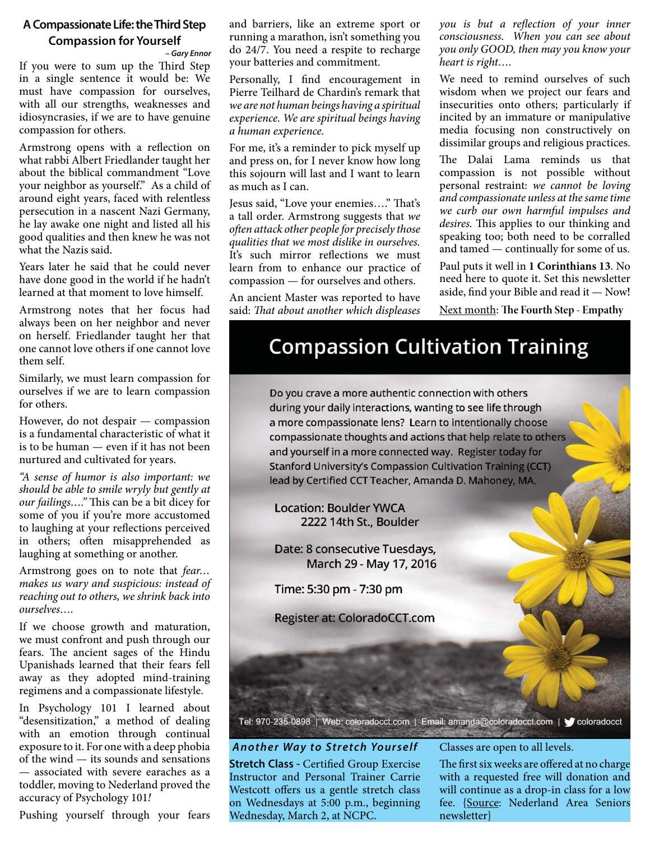# **A Compassionate Life: the Third Step Compassion for Yourself**

If you were to sum up the Third Step in a single sentence it would be: We must have compassion for ourselves, with all our strengths, weaknesses and idiosyncrasies, if we are to have genuine compassion for others. *– Gary Ennor*

Armstrong opens with a reflection on what rabbi Albert Friedlander taught her about the biblical commandment "Love your neighbor as yourself." As a child of around eight years, faced with relentless persecution in a nascent Nazi Germany, he lay awake one night and listed all his good qualities and then knew he was not what the Nazis said.

Years later he said that he could never have done good in the world if he hadn't learned at that moment to love himself.

Armstrong notes that her focus had always been on her neighbor and never on herself. Friedlander taught her that one cannot love others if one cannot love them self.

Similarly, we must learn compassion for ourselves if we are to learn compassion for others.

However, do not despair — compassion is a fundamental characteristic of what it is to be human — even if it has not been nurtured and cultivated for years.

"A sense of humor is also important: we should be able to smile wryly but gently at our failings...." This can be a bit dicey for some of you if you're more accustomed to laughing at your reflections perceived in others; often misapprehended as laughing at something or another.

Armstrong goes on to note that fear... makes us wary and suspicious: instead of reaching out to others, we shrink back into ourselves….

If we choose growth and maturation, we must confront and push through our fears. The ancient sages of the Hindu Upanishads learned that their fears fell away as they adopted mind-training regimens and a compassionate lifestyle.

In Psychology 101 I learned about "desensitization," a method of dealing with an emotion through continual exposure to it. For one with a deep phobia of the wind — its sounds and sensations — associated with severe earaches as a toddler, moving to Nederland proved the accuracy of Psychology 101!

Pushing yourself through your fears

and barriers, like an extreme sport or running a marathon, isn't something you do 24/7. You need a respite to recharge your batteries and commitment.

Personally, I find encouragement in Pierre Teilhard de Chardin's remark that we are not human beings having a spiritual experience. We are spiritual beings having a human experience.

For me, it's a reminder to pick myself up and press on, for I never know how long this sojourn will last and I want to learn as much as I can.

Jesus said, "Love your enemies...." That's a tall order. Armstrong suggests that we often attack other people for precisely those qualities that we most dislike in ourselves. It's such mirror reflections we must learn from to enhance our practice of compassion — for ourselves and others.

An ancient Master was reported to have said: That about another which displeases

you is but a reflection of your inner consciousness. When you can see about you only GOOD, then may you know your heart is right….

We need to remind ourselves of such wisdom when we project our fears and insecurities onto others; particularly if incited by an immature or manipulative media focusing non constructively on dissimilar groups and religious practices.

The Dalai Lama reminds us that compassion is not possible without personal restraint: we cannot be loving and compassionate unless at the same time we curb our own harmful impulses and desires. This applies to our thinking and speaking too; both need to be corralled and tamed — continually for some of us.

Paul puts it well in **1 Corinthians 13**. No need here to quote it. Set this newsletter aside, find your Bible and read it - Now!

**Next month: The Fourth Step - Empathy** 

# **Compassion Cultivation Training**

Do you crave a more authentic connection with others during your daily interactions, wanting to see life through a more compassionate lens? Learn to intentionally choose compassionate thoughts and actions that help relate to others and yourself in a more connected way. Register today for **Stanford University's Compassion Cultivation Training (CCT)** lead by Certified CCT Teacher, Amanda D. Mahoney, MA.

**Location: Boulder YWCA** 2222 14th St., Boulder

Date: 8 consecutive Tuesdays, March 29 - May 17, 2016

Time: 5:30 pm - 7:30 pm

Register at: ColoradoCCT.com

Tel: 970-235-0898 | Web: coloradocct.com | Email: amanda@coloradocct.com | vcoloradocct

*Another Way to Stretch Yourself* **Stretch Class - Certified Group Exercise** Instructor and Personal Trainer Carrie Westcott offers us a gentle stretch class on Wednesdays at 5:00 p.m., beginning Wednesday, March 2, at NCPC.

Classes are open to all levels.

The first six weeks are offered at no charge with a requested free will donation and will continue as a drop-in class for a low fee. {Source: Nederland Area Seniors newsletter}